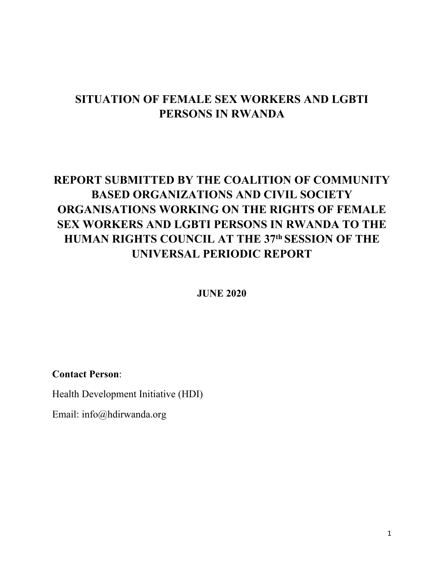# **SITUATION OF FEMALE SEX WORKERS AND LGBTI PERSONS IN RWANDA**

# **REPORT SUBMITTED BY THE COALITION OF COMMUNITY BASED ORGANIZATIONS AND CIVIL SOCIETY ORGANISATIONS WORKING ON THE RIGHTS OF FEMALE SEX WORKERS AND LGBTI PERSONS IN RWANDA TO THE HUMAN RIGHTS COUNCIL AT THE 37th SESSION OF THE UNIVERSAL PERIODIC REPORT**

**JUNE 2020**

**Contact Person**:

Health Development Initiative (HDI)

Email: info@hdirwanda.org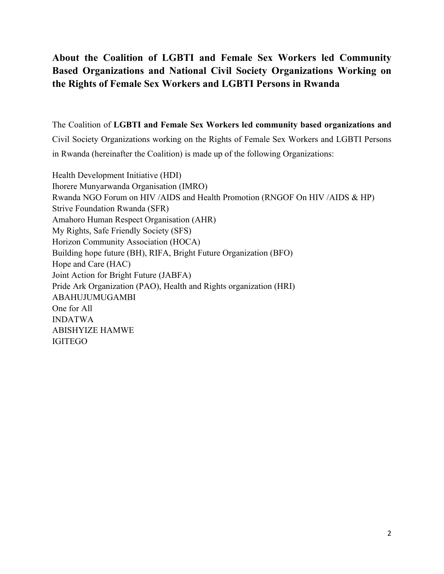# **About the Coalition of LGBTI and Female Sex Workers led Community Based Organizations and National Civil Society Organizations Working on the Rights of Female Sex Workers and LGBTI Persons in Rwanda**

The Coalition of **LGBTI and Female Sex Workers led community based organizations and** Civil Society Organizations working on the Rights of Female Sex Workers and LGBTI Persons in Rwanda (hereinafter the Coalition) is made up of the following Organizations:

Health Development Initiative (HDI) Ihorere Munyarwanda Organisation (IMRO) Rwanda NGO Forum on HIV /AIDS and Health Promotion (RNGOF On HIV /AIDS & HP) Strive Foundation Rwanda (SFR) Amahoro Human Respect Organisation (AHR) My Rights, Safe Friendly Society (SFS) Horizon Community Association (HOCA) Building hope future (BH), RIFA, Bright Future Organization (BFO) Hope and Care (HAC) Joint Action for Bright Future (JABFA) Pride Ark Organization (PAO), Health and Rights organization (HRI) ABAHUJUMUGAMBI One for All INDATWA ABISHYIZE HAMWE IGITEGO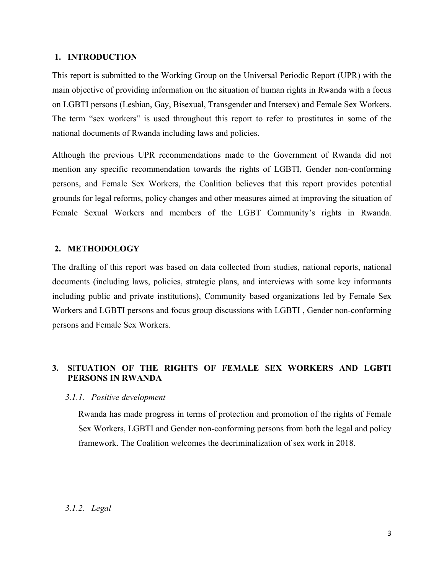#### **1. INTRODUCTION**

This repor<sup>t</sup> is submitted to the Working Group on the Universal Periodic Report (UPR) with the main objective of providing information on the situation of human rights in Rwanda with <sup>a</sup> focus on LGBTI persons (Lesbian, Gay, Bisexual, Transgender and Intersex) and Female Sex Workers. The term "sex workers" is used throughout this repor<sup>t</sup> to refer to prostitutes in some of the national documents of Rwanda including laws and policies.

Although the previous UPR recommendations made to the Government of Rwanda did not mention any specific recommendation towards the rights of LGBTI, Gender non-conforming persons, and Female Sex Workers, the Coalition believes that this repor<sup>t</sup> provides potential grounds for legal reforms, policy changes and other measures aimed at improving the situation of Female Sexual Workers and members of the LGBT Community'<sup>s</sup> rights in Rwanda.

#### **2. METHODOLOGY**

The drafting of this repor<sup>t</sup> was based on data collected from studies, national reports, national documents (including laws, policies, strategic plans, and interviews with some key informants including public and private institutions), Community based organizations led by Female Sex Workers and LGBTI persons and focus group discussions with LGBTI , Gender non-conforming persons and Female Sex Workers.

# **3. S**I**TUATION OF THE RIGHTS OF FEMALE SEX WORKERS AND LGBTI PERSONS IN RWANDA**

#### *3.1.1. Positive development*

Rwanda has made progress in terms of protection and promotion of the rights of Female Sex Workers, LGBTI and Gender non-conforming persons from both the legal and policy framework. The Coalition welcomes the decriminalization of sex work in 2018.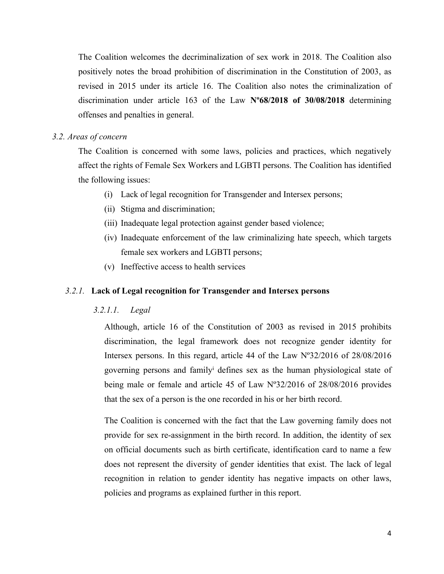The Coalition welcomes the decriminalization of sex work in 2018. The Coalition also positively notes the broad prohibition of discrimination in the Constitution of 2003, as revised in 2015 under its article 16. The Coalition also notes the criminalization of discrimination under article 163 of the Law **Nº68/2018 of 30/08/2018** determining offenses and penalties in general.

#### *3.2. Areas of concern*

The Coalition is concerned with some laws, policies and practices, which negatively affect the rights of Female Sex Workers and LGBTI persons. The Coalition has identified the following issues:

- (i) Lack of legal recognition for Transgender and Intersex persons;
- (ii) Stigma and discrimination;
- (iii) Inadequate legal protection against gender based violence;
- (iv) Inadequate enforcement of the law criminalizing hate speech, which targets female sex workers and LGBTI persons;
- (v) Ineffective access to health services

#### *3.2.1.* **Lack of Legal recognition for Transgender and Intersex persons**

#### *3.2.1.1. Legal*

Although, article 16 of the Constitution of 2003 as revised in 2015 prohibits discrimination, the legal framework does not recognize gender identity for Intersex persons. In this regard, article 44 of the Law Nº32/2016 of 28/08/2016 governing persons and family<sup>i</sup> defines sex as the human physiological state of being male or female and article 45 of Law Nº32/2016 of 28/08/2016 provides that the sex of <sup>a</sup> person is the one recorded in his or her birth record.

The Coalition is concerned with the fact that the Law governing family does not provide for sex re-assignment in the birth record. In addition, the identity of sex on official documents such as birth certificate, identification card to name <sup>a</sup> few does not represen<sup>t</sup> the diversity of gender identities that exist. The lack of legal recognition in relation to gender identity has negative impacts on other laws, policies and programs as explained further in this report.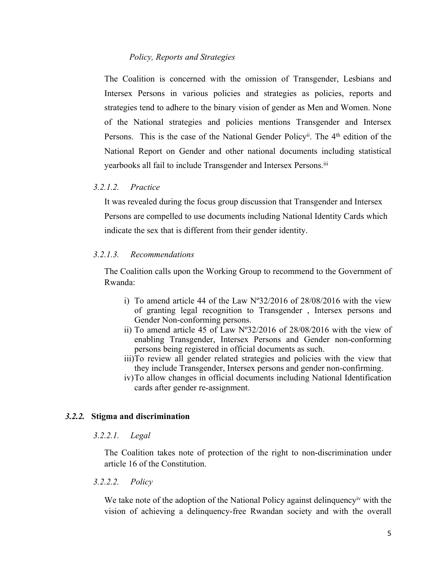#### *Policy, Reports and Strategies*

The Coalition is concerned with the omission of Transgender, Lesbians and Intersex Persons in various policies and strategies as policies, reports and strategies tend to adhere to the binary vision of gender as Men and Women. None of the National strategies and policies mentions Transgender and Intersex Persons. This is the case of the National Gender Policy<sup>ii</sup>. The 4<sup>th</sup> edition of the National Report on Gender and other national documents including statistical yearbooks all fail to include Transgender and Intersex Persons. iii

# *3.2.1.2. Practice*

It was revealed during the focus group discussion that Transgender and Intersex Persons are compelled to use documents including National Identity Cards which indicate the sex that is different from their gender identity.

#### *3.2.1.3. Recommendations*

The Coalition calls upon the Working Group to recommend to the Government of Rwanda:

- i) To amend article 44 of the Law  $N^{\circ}32/2016$  of 28/08/2016 with the view of granting legal recognition to Transgender , Intersex persons and Gender Non-conforming persons.
- ii) To amend article 45 of Law Nº32/2016 of 28/08/2016 with the view of enabling Transgender, Intersex Persons and Gender non-conforming persons being registered in official documents as such.
- iii)To review all gender related strategies and policies with the view that they include Transgender, Intersex persons and gender non-confirming.
- iv)To allow changes in official documents including National Identification cards after gender re-assignment.

#### *3.2.2.* **Stigma and discrimination**

#### *3.2.2.1. Legal*

The Coalition takes note of protection of the right to non-discrimination under article 16 of the Constitution.

#### *3.2.2.2. Policy*

We take note of the adoption of the National Policy against delinquency<sup>iv</sup> with the vision of achieving <sup>a</sup> delinquency-free Rwandan society and with the overall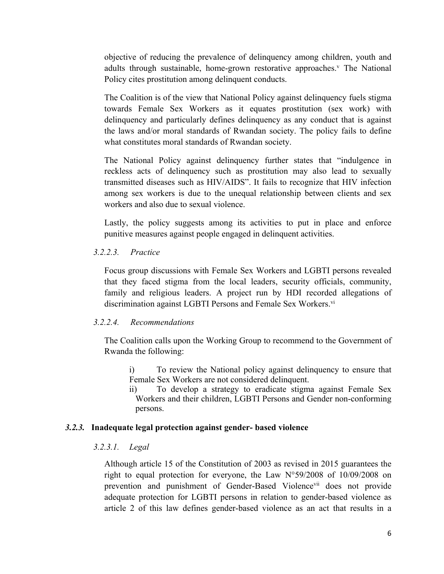objective of reducing the prevalence of delinquency among children, youth and adults through sustainable, home-grown restorative approaches. v The National Policy cites prostitution among delinquent conducts.

The Coalition is of the view that National Policy against delinquency fuels stigma towards Female Sex Workers as it equates prostitution (sex work) with delinquency and particularly defines delinquency as any conduct that is against the laws and/or moral standards of Rwandan society. The policy fails to define what constitutes moral standards of Rwandan society.

The National Policy against delinquency further states that "indulgence in reckless acts of delinquency such as prostitution may also lead to sexually transmitted diseases such as HIV/AIDS". It fails to recognize that HIV infection among sex workers is due to the unequal relationship between clients and sex workers and also due to sexual violence.

Lastly, the policy suggests among its activities to pu<sup>t</sup> in place and enforce punitive measures against people engaged in delinquent activities.

# *3.2.2.3. Practice*

Focus group discussions with Female Sex Workers and LGBTI persons revealed that they faced stigma from the local leaders, security officials, community, family and religious leaders. A project run by HDI recorded allegations of discrimination against LGBTI Persons and Female Sex Workers.<sup>vi</sup>

# *3.2.2.4. Recommendations*

The Coalition calls upon the Working Group to recommend to the Government of Rwanda the following:

i) To review the National policy against delinquency to ensure that Female Sex Workers are not considered delinquent.

ii) To develop <sup>a</sup> strategy to eradicate stigma against Female Sex Workers and their children, LGBTI Persons and Gender non-conforming persons.

# *3.2.3.* **Inadequate legal protection against gender- based violence**

# *3.2.3.1. Legal*

Although article 15 of the Constitution of 2003 as revised in 2015 guarantees the right to equal protection for everyone, the Law N°59/2008 of 10/09/2008 on prevention and punishment of Gender-Based Violence<sup>vii</sup> does not provide adequate protection for LGBTI persons in relation to gender-based violence as article 2 of this law defines gender-based violence as an act that results in <sup>a</sup>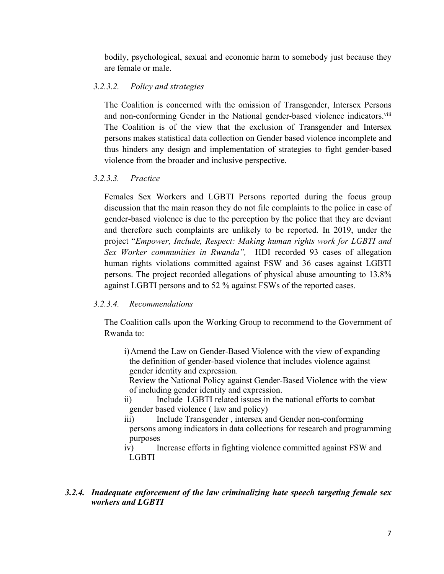bodily, psychological, sexual and economic harm to somebody just because they are female or male.

# *3.2.3.2. Policy and strategies*

The Coalition is concerned with the omission of Transgender, Intersex Persons and non-conforming Gender in the National gender-based violence indicators.<sup>viii</sup> The Coalition is of the view that the exclusion of Transgender and Intersex persons makes statistical data collection on Gender based violence incomplete and thus hinders any design and implementation of strategies to fight gender-based violence from the broader and inclusive perspective.

# *3.2.3.3. Practice*

Females Sex Workers and LGBTI Persons reported during the focus group discussion that the main reason they do not file complaints to the police in case of gender-based violence is due to the perception by the police that they are deviant and therefore such complaints are unlikely to be reported. In 2019, under the project "*Empower, Include, Respect: Making human rights work for LGBTI and Sex Worker communities in Rwanda",* HDI recorded 93 cases of allegation human rights violations committed against FSW and 36 cases against LGBTI persons. The project recorded allegations of physical abuse amounting to 13.8% against LGBTI persons and to 52 % against FSWs of the reported cases.

# *3.2.3.4. Recommendations*

The Coalition calls upon the Working Group to recommend to the Government of Rwanda to:

i)Amend the Law on Gender-Based Violence with the view of expanding the definition of gender-based violence that includes violence against gender identity and expression.

Review the National Policy against Gender-Based Violence with the view of including gender identity and expression.

- ii) Include LGBTI related issues in the national efforts to combat gender based violence ( law and policy)
- iii) Include Transgender, intersex and Gender non-conforming persons among indicators in data collections for research and programming purposes
- iv) Increase efforts in fighting violence committed against FSW and LGBTI

# *3.2.4. Inadequate enforcement of the law criminalizing hate speech targeting female sex workers and LGBTI*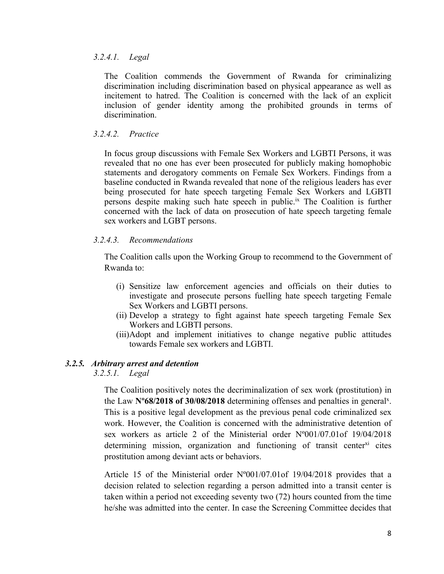#### *3.2.4.1. Legal*

The Coalition commends the Government of Rwanda for criminalizing discrimination including discrimination based on physical appearance as well as incitement to hatred. The Coalition is concerned with the lack of an explicit inclusion of gender identity among the prohibited grounds in terms of discrimination.

#### *3.2.4.2. Practice*

In focus group discussions with Female Sex Workers and LGBTI Persons, it was revealed that no one has ever been prosecuted for publicly making homophobic statements and derogatory comments on Female Sex Workers. Findings from <sup>a</sup> baseline conducted in Rwanda revealed that none of the religious leaders has ever being prosecuted for hate speech targeting Female Sex Workers and LGBTI persons despite making such hate speech in public. ix The Coalition is further concerned with the lack of data on prosecution of hate speech targeting female sex workers and LGBT persons.

#### *3.2.4.3. Recommendations*

The Coalition calls upon the Working Group to recommend to the Government of Rwanda to:

- (i) Sensitize law enforcement agencies and officials on their duties to investigate and prosecute persons fuelling hate speech targeting Female Sex Workers and LGBTI persons.
- (ii) Develop <sup>a</sup> strategy to fight against hate speech targeting Female Sex Workers and LGBTI persons.
- (iii)Adopt and implement initiatives to change negative public attitudes towards Female sex workers and LGBTI.

# *3.2.5. Arbitrary arrest and detention*

*3.2.5.1. Legal*

The Coalition positively notes the decriminalization of sex work (prostitution) in the Law N°68/2018 of 30/08/2018 determining offenses and penalties in general<sup>x</sup>. This is <sup>a</sup> positive legal development as the previous penal code criminalized sex work. However, the Coalition is concerned with the administrative detention of sex workers as article 2 of the Ministerial order Nº001/07.01of 19/04/2018 determining mission, organization and functioning of transit center<sup>xi</sup> cites prostitution among deviant acts or behaviors.

Article 15 of the Ministerial order Nº001/07.01of 19/04/2018 provides that <sup>a</sup> decision related to selection regarding <sup>a</sup> person admitted into <sup>a</sup> transit center is taken within <sup>a</sup> period not exceeding seventy two (72) hours counted from the time he/she was admitted into the center. In case the Screening Committee decides that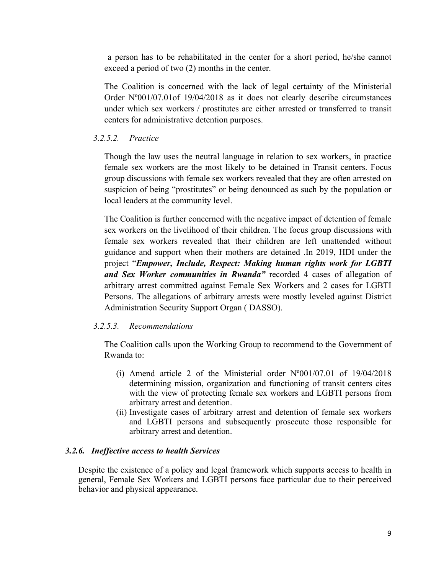<sup>a</sup> person has to be rehabilitated in the center for <sup>a</sup> short period, he/she cannot exceed <sup>a</sup> period of two (2) months in the center.

The Coalition is concerned with the lack of legal certainty of the Ministerial Order Nº001/07.01of 19/04/2018 as it does not clearly describe circumstances under which sex workers / prostitutes are either arrested or transferred to transit centers for administrative detention purposes.

# *3.2.5.2. Practice*

Though the law uses the neutral language in relation to sex workers, in practice female sex workers are the most likely to be detained in Transit centers. Focus group discussions with female sex workers revealed that they are often arrested on suspicion of being "prostitutes" or being denounced as such by the population or local leaders at the community level.

The Coalition is further concerned with the negative impact of detention of female sex workers on the livelihood of their children. The focus group discussions with female sex workers revealed that their children are left unattended without guidance and suppor<sup>t</sup> when their mothers are detained .In 2019, HDI under the project "*Empower, Include, Respect: Making human rights work for LGBTI and Sex Worker communities in Rwanda"* recorded 4 cases of allegation of arbitrary arrest committed against Female Sex Workers and 2 cases for LGBTI Persons. The allegations of arbitrary arrests were mostly leveled against District Administration Security Support Organ ( DASSO).

# *3.2.5.3. Recommendations*

The Coalition calls upon the Working Group to recommend to the Government of Rwanda to:

- (i) Amend article 2 of the Ministerial order Nº001/07.01 of 19/04/2018 determining mission, organization and functioning of transit centers cites with the view of protecting female sex workers and LGBTI persons from arbitrary arrest and detention.
- (ii) Investigate cases of arbitrary arrest and detention of female sex workers and LGBTI persons and subsequently prosecute those responsible for arbitrary arrest and detention.

# *3.2.6. Ineffective access to health Services*

Despite the existence of <sup>a</sup> policy and legal framework which supports access to health in general, Female Sex Workers and LGBTI persons face particular due to their perceived behavior and physical appearance.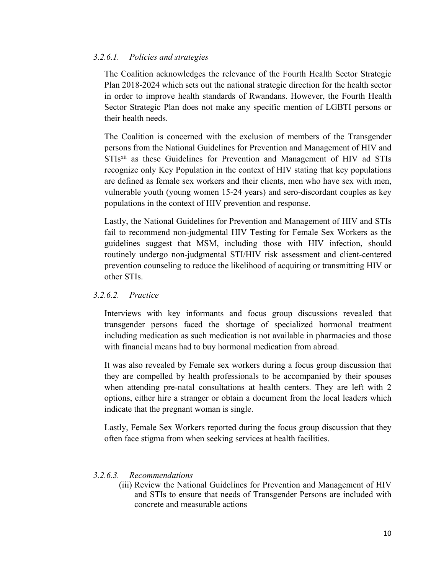#### *3.2.6.1. Policies and strategies*

The Coalition acknowledges the relevance of the Fourth Health Sector Strategic Plan 2018-2024 which sets out the national strategic direction for the health sector in order to improve health standards of Rwandans. However, the Fourth Health Sector Strategic Plan does not make any specific mention of LGBTI persons or their health needs.

The Coalition is concerned with the exclusion of members of the Transgender persons from the National Guidelines for Prevention and Management of HIV and STIs<sup>xii</sup> as these Guidelines for Prevention and Management of HIV ad STIs recognize only Key Population in the context of HIV stating that key populations are defined as female sex workers and their clients, men who have sex with men, vulnerable youth (young women 15-24 years) and sero-discordant couples as key populations in the context of HIV prevention and response.

Lastly, the National Guidelines for Prevention and Management of HIV and STIs fail to recommend non-judgmental HIV Testing for Female Sex Workers as the guidelines sugges<sup>t</sup> that MSM, including those with HIV infection, should routinely undergo non-judgmental STI/HIV risk assessment and client-centered prevention counseling to reduce the likelihood of acquiring or transmitting HIV or other STIs.

# *3.2.6.2. Practice*

Interviews with key informants and focus group discussions revealed that transgender persons faced the shortage of specialized hormonal treatment including medication as such medication is not available in pharmacies and those with financial means had to buy hormonal medication from abroad.

It was also revealed by Female sex workers during <sup>a</sup> focus group discussion that they are compelled by health professionals to be accompanied by their spouses when attending pre-natal consultations at health centers. They are left with 2 options, either hire <sup>a</sup> stranger or obtain <sup>a</sup> document from the local leaders which indicate that the pregnan<sup>t</sup> woman is single.

Lastly, Female Sex Workers reported during the focus group discussion that they often face stigma from when seeking services at health facilities.

#### *3.2.6.3. Recommendations*

(iii) Review the National Guidelines for Prevention and Management of HIV and STIs to ensure that needs of Transgender Persons are included with concrete and measurable actions